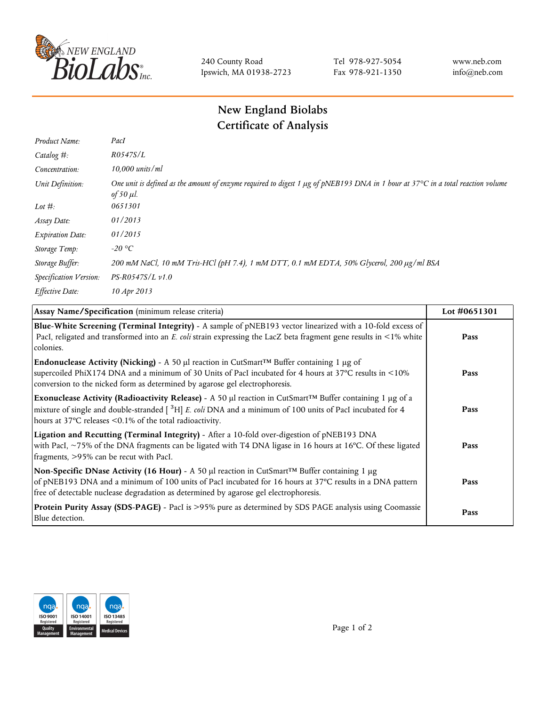

240 County Road Ipswich, MA 01938-2723 Tel 978-927-5054 Fax 978-921-1350 www.neb.com info@neb.com

## **New England Biolabs Certificate of Analysis**

| Product Name:           | PacI                                                                                                                                              |
|-------------------------|---------------------------------------------------------------------------------------------------------------------------------------------------|
| Catalog $#$ :           | R0547S/L                                                                                                                                          |
| Concentration:          | $10,000$ units/ml                                                                                                                                 |
| Unit Definition:        | One unit is defined as the amount of enzyme required to digest 1 µg of pNEB193 DNA in 1 hour at 37°C in a total reaction volume<br>of 50 $\mu$ l. |
| Lot $#$ :               | 0651301                                                                                                                                           |
| Assay Date:             | 01/2013                                                                                                                                           |
| <b>Expiration Date:</b> | 01/2015                                                                                                                                           |
| Storage Temp:           | -20 °C                                                                                                                                            |
| Storage Buffer:         | 200 mM NaCl, 10 mM Tris-HCl (pH 7.4), 1 mM DTT, 0.1 mM EDTA, 50% Glycerol, 200 μg/ml BSA                                                          |
| Specification Version:  | $PS-R0547S/L \nu 1.0$                                                                                                                             |
| Effective Date:         | 10 Apr 2013                                                                                                                                       |

| Assay Name/Specification (minimum release criteria)                                                                                                                                                                                                                                                                                    | Lot #0651301 |
|----------------------------------------------------------------------------------------------------------------------------------------------------------------------------------------------------------------------------------------------------------------------------------------------------------------------------------------|--------------|
| Blue-White Screening (Terminal Integrity) - A sample of pNEB193 vector linearized with a 10-fold excess of<br>PacI, religated and transformed into an E. coli strain expressing the LacZ beta fragment gene results in <1% white<br>colonies.                                                                                          | Pass         |
| Endonuclease Activity (Nicking) - A 50 µl reaction in CutSmart™ Buffer containing 1 µg of<br>supercoiled PhiX174 DNA and a minimum of 30 Units of PacI incubated for 4 hours at 37°C results in <10%<br>conversion to the nicked form as determined by agarose gel electrophoresis.                                                    | Pass         |
| Exonuclease Activity (Radioactivity Release) - A 50 µl reaction in CutSmart™ Buffer containing 1 µg of a<br>mixture of single and double-stranded $\left[ \begin{array}{c} 3 \text{H} \end{array} \right] E$ . coli DNA and a minimum of 100 units of PacI incubated for 4<br>hours at 37°C releases <0.1% of the total radioactivity. | Pass         |
| Ligation and Recutting (Terminal Integrity) - After a 10-fold over-digestion of pNEB193 DNA<br>with PacI, $\sim$ 75% of the DNA fragments can be ligated with T4 DNA ligase in 16 hours at 16 °C. Of these ligated<br>fragments, >95% can be recut with PacI.                                                                          | Pass         |
| Non-Specific DNase Activity (16 Hour) - A 50 µl reaction in CutSmart <sup>™</sup> Buffer containing 1 µg<br>of pNEB193 DNA and a minimum of 100 units of PacI incubated for 16 hours at 37°C results in a DNA pattern<br>free of detectable nuclease degradation as determined by agarose gel electrophoresis.                         | Pass         |
| Protein Purity Assay (SDS-PAGE) - PacI is >95% pure as determined by SDS PAGE analysis using Coomassie<br>Blue detection.                                                                                                                                                                                                              | Pass         |